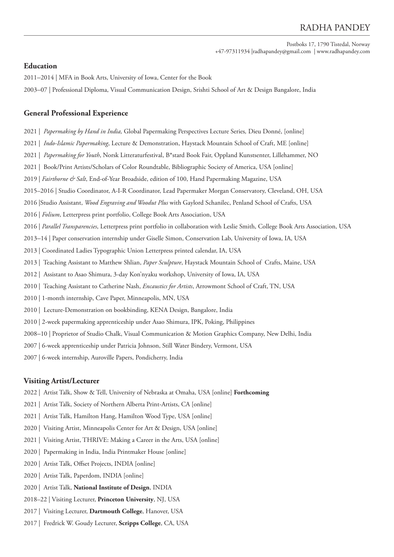# RADHA PANDEY

Postboks 17, 1790 Tistedal, Norway +47-97311934 |radhapandey@gmail.com | www.radhapandey.com

# **Education**

2011–2014 | MFA in Book Arts, University of Iowa, Center for the Book

2003–07 | Professional Diploma, Visual Communication Design, Srishti School of Art & Design Bangalore, India

### **General Professional Experience**

- 2021 | *Papermaking by Hand in India,* Global Papermaking Perspectives Lecture Series*,* Dieu Donné, [online]
- 2021 | *Indo-Islamic Papermaking*, Lecture & Demonstration, Haystack Mountain School of Craft, ME [online]
- 2021 | *Papermaking for Youth*, Norsk Litteraturfestival, B\*stard Book Fair, Oppland Kunstsenter, Lillehammer, NO
- 2021 | Book/Print Artists/Scholars of Color Roundtable, Bibliographic Society of America, USA [online]
- 2019 | *Fairthorne & Salt*, End-of-Year Broadside, edition of 100, Hand Papermaking Magazine, USA
- 2015–2016 | Studio Coordinator, A-I-R Coordinator, Lead Papermaker Morgan Conservatory, Cleveland, OH, USA
- 2016 |Studio Assistant, *Wood Engraving and Woodut Plus* with Gaylord Schanilec, Penland School of Crafts, USA
- 2016 | *Folium*, Letterpress print portfolio, College Book Arts Association, USA
- 2016 | *Parallel Transparencies*, Letterpress print portfolio in collaboration with Leslie Smith, College Book Arts Association, USA
- 2013–14 | Paper conservation internship under Giselle Simon, Conservation Lab, University of Iowa, IA, USA
- 2013 | Coordinated Ladies Typographic Union Letterpress printed calendar, IA, USA
- 2013 | Teaching Assistant to Matthew Shlian, *Paper Sculpture*, Haystack Mountain School of Crafts, Maine, USA
- 2012 | Assistant to Asao Shimura, 3-day Kon'nyaku workshop, University of Iowa, IA, USA
- 2010 | Teaching Assistant to Catherine Nash, *Encaustics for Artists*, Arrowmont School of Craft, TN, USA
- 2010 | 1-month internship, Cave Paper, Minneapolis, MN, USA
- 2010 | Lecture-Demonstration on bookbinding, KENA Design, Bangalore, India
- 2010 | 2-week papermaking apprenticeship under Asao Shimura, IPK, Poking, Philippines
- 2008–10 | Proprietor of Studio Chalk, Visual Communication & Motion Graphics Company, New Delhi, India
- 2007 | 6-week apprenticeship under Patricia Johnson, Still Water Bindery, Vermont, USA
- 2007 | 6-week internship, Auroville Papers, Pondicherry, India

### **Visiting Artist/Lecturer**

- 2022 | Artist Talk, Show & Tell, University of Nebraska at Omaha, USA [online] **Forthcoming**
- 2021 | Artist Talk, Society of Northern Alberta Print-Artists, CA [online]
- 2021 | Artist Talk, Hamilton Hang, Hamilton Wood Type, USA [online]
- 2020 | Visiting Artist, Minneapolis Center for Art & Design, USA [online]
- 2021 | Visiting Artist, THRIVE: Making a Career in the Arts, USA [online]
- 2020 | Papermaking in India, India Printmaker House [online]
- 2020 | Artist Talk, Offset Projects, INDIA [online]
- 2020 | Artist Talk, Paperdom, INDIA [online]
- 2020 | Artist Talk, **National Institute of Design**, INDIA
- 2018–22 | Visiting Lecturer, **Princeton University**, NJ, USA
- 2017 | Visiting Lecturer, **Dartmouth College**, Hanover, USA
- 2017 | Fredrick W. Goudy Lecturer, **Scripps College**, CA, USA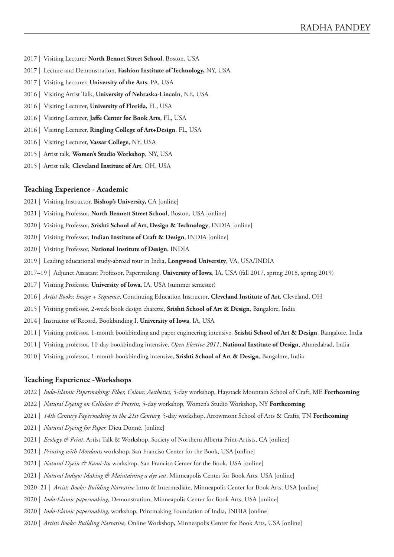- 2017 | Visiting Lecturer **North Bennet Street School**, Boston, USA
- 2017 | Lecture and Demonstration, **Fashion Institute of Technology,** NY, USA
- 2017 | Visiting Lecturer, **University of the Arts**, PA, USA
- 2016 | Visiting Artist Talk, **University of Nebraska-Lincoln**, NE, USA
- 2016 | Visiting Lecturer, **University of Florida**, FL, USA
- 2016 | Visiting Lecturer, **Jaffe Center for Book Arts**, FL, USA
- 2016 | Visiting Lecturer, **Ringling College of Art+Design**, FL, USA
- 2016 | Visiting Lecturer, **Vassar College**, NY, USA
- 2015 | Artist talk, **Women's Studio Workshop**, NY, USA
- 2015 | Artist talk, **Cleveland Institute of Art**, OH, USA

#### **Teaching Experience - Academic**

- 2021 | Visiting Instructor, **Bishop's University,** CA [online]
- 2021 | Visiting Professor, **North Bennett Street School**, Boston, USA [online]
- 2020 | Visiting Professor, **Srishti School of Art, Design & Technology**, INDIA [online]
- 2020 | Visiting Professor, **Indian Institute of Craft & Design**, INDIA [online]
- 2020 | Visiting Professor, **National Institute of Design**, INDIA
- 2019 | Leading educational study-abroad tour in India, **Longwood University**, VA, USA/INDIA
- 2017–19 | Adjunct Assistant Professor, Papermaking, **University of Iowa**, IA, USA (fall 2017, spring 2018, spring 2019)
- 2017 | Visiting Professor, **University of Iowa**, IA, USA (summer semester)
- 2016 | *Artist Books: Image + Sequence*, Continuing Education Instructor, **Cleveland Institute of Art**, Cleveland, OH
- 2015 | Visiting professor, 2-week book design charette, **Srishti School of Art & Design**, Bangalore, India
- 2014 | Instructor of Record, Bookbinding I, **University of Iowa**, IA, USA
- 2011 | Visiting professor, 1-month bookbinding and paper engineering intensive, **Srishti School of Art & Design**, Bangalore, India
- 2011 | Visiting professor, 10-day bookbinding intensive, *Open Elective 2011*, **National Institute of Design**, Ahmedabad, India
- 2010 | Visiting professor, 1-month bookbinding intensive, **Srishti School of Art & Design**, Bangalore, India

### **Teaching Experience -Workshops**

- 2022 | *Indo-Islamic Papermaking: Fiber, Colour, Aesthetics,* 5-day workshop, Haystack Mountain School of Craft, ME **Forthcoming**
- 2022 | *Natural Dyeing on Cellulose & Protein*, 5-day workshop, Women's Studio Workshop, NY **Forthcoming**
- 2021 | *14th Century Papermaking in the 21st Century,* 5-day workshop, Arrowmont School of Arts & Crafts, TN **Forthcoming**
- 2021 | *Natural Dyeing for Paper,* Dieu Donné, [online]
- 2021 | *Ecology & Print*, Artist Talk & Workshop, Society of Northern Alberta Print-Artists, CA [online]
- 2021 | *Printing with Mordants* workshop, San Franciso Center for the Book, USA [online]
- 2021 | *Natural Dyein & Kami-Ito* workshop, San Franciso Center for the Book, USA [online]
- 2021 | *Natural Indigo: Making & Maintaining a dye vat*, Minneapolis Center for Book Arts, USA [online]
- 2020–21 | *Artists Books: Building Narrative* Intro & Intermediate, Minneapolis Center for Book Arts, USA [online]
- 2020 | *Indo-Islamic papermaking,* Demonstration, Minneapolis Center for Book Arts, USA [online]
- 2020 | *Indo-Islamic papermaking,* workshop, Printmaking Foundation of India, INDIA [online]
- 2020 | *Artists Books: Building Narrative,* Online Workshop, Minneapolis Center for Book Arts, USA [online]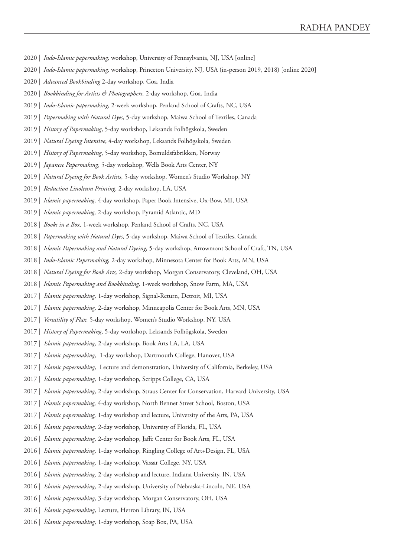- 2020 | *Indo-Islamic papermaking,* workshop, University of Pennsylvania, NJ, USA [online]
- 2020 | *Indo-Islamic papermaking,* workshop, Princeton University, NJ, USA (in-person 2019, 2018) [online 2020]
- 2020 | *Advanced Bookbinding* 2-day workshop, Goa, India
- 2020 | *Bookbinding for Artists & Photographers,* 2-day workshop, Goa, India
- 2019 | *Indo-Islamic papermaking,* 2-week workshop, Penland School of Crafts, NC, USA
- 2019 | *Papermaking with Natural Dyes,* 5-day workshop, Maiwa School of Textiles, Canada
- 2019 | *History of Papermaking*, 5-day workshop, Leksands Folhögskola, Sweden
- 2019 | *Natural Dyeing Intensive*, 4-day workshop, Leksands Folhögskola, Sweden
- 2019 | *History of Papermaking*, 5-day workshop, Bomuldsfabrikken, Norway
- 2019 | *Japanese Papermaking*, 5-day workshop, Wells Book Arts Center, NY
- 2019 | *Natural Dyeing for Book Artists*, 5-day workshop, Women's Studio Workshop, NY
- 2019 | *Reduction Linoleum Printing,* 2-day workshop, LA, USA
- 2019 | *Islamic papermaking,* 4-day workshop, Paper Book Intensive, Ox-Bow, MI, USA
- 2019 | *Islamic papermaking,* 2-day workshop, Pyramid Atlantic, MD
- 2018 | *Books in a Box,* 1-week workshop, Penland School of Crafts, NC, USA
- 2018 | *Papermaking with Natural Dyes,* 5-day workshop, Maiwa School of Textiles, Canada
- 2018 | *Islamic Papermaking and Natural Dyeing,* 5-day workshop, Arrowmont School of Craft, TN, USA
- 2018 | *Indo-Islamic Papermaking,* 2-day workshop, Minnesota Center for Book Arts, MN, USA
- 2018 | *Natural Dyeing for Book Arts,* 2-day workshop, Morgan Conservatory, Cleveland, OH, USA
- 2018 | *Islamic Papermaking and Bookbinding,* 1-week workshop, Snow Farm, MA, USA
- 2017 | *Islamic papermaking,* 1-day workshop, Signal-Return, Detroit, MI, USA
- 2017 | *Islamic papermaking,* 2-day workshop, Minneapolis Center for Book Arts, MN, USA
- 2017 | *Versatility of Flax,* 5-day workshop, Women's Studio Workshop, NY, USA
- 2017 | *History of Papermaking*, 5-day workshop, Leksands Folhögskola, Sweden
- 2017 | *Islamic papermaking,* 2-day workshop, Book Arts LA, LA, USA
- 2017 | *Islamic papermaking,* 1-day workshop, Dartmouth College, Hanover, USA
- 2017 | *Islamic papermaking,* Lecture and demonstration, University of California, Berkeley, USA
- 2017 | *Islamic papermaking,* 1-day workshop, Scripps College, CA, USA
- 2017 | *Islamic papermaking,* 2-day workshop, Straus Center for Conservation, Harvard University, USA
- 2017 | *Islamic papermaking,* 4-day workshop, North Bennet Street School, Boston, USA
- 2017 | *Islamic papermaking,* 1-day workshop and lecture, University of the Arts, PA, USA
- 2016 | *Islamic papermaking,* 2-day workshop, University of Florida, FL, USA
- 2016 | *Islamic papermaking,* 2-day workshop, Jaffe Center for Book Arts, FL, USA
- 2016 | *Islamic papermaking,* 1-day workshop, Ringling College of Art+Design, FL, USA
- 2016 | *Islamic papermaking,* 1-day workshop, Vassar College, NY, USA
- 2016 | *Islamic papermaking,* 2-day workshop and lecture, Indiana University, IN, USA
- 2016 | *Islamic papermaking,* 2-day workshop, University of Nebraska-Lincoln, NE, USA
- 2016 | *Islamic papermaking,* 3-day workshop, Morgan Conservatory, OH, USA
- 2016 | *Islamic papermaking,* Lecture, Herron Library, IN, USA
- 2016 | *Islamic papermaking,* 1-day workshop, Soap Box, PA, USA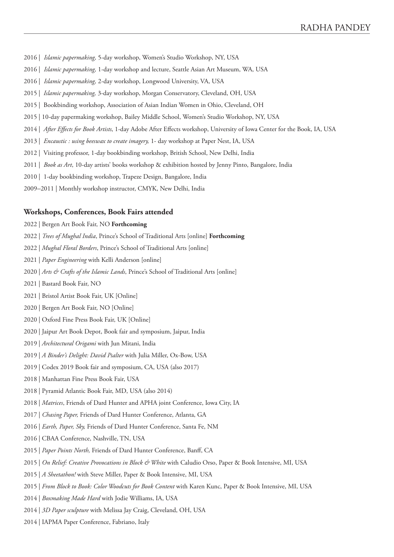- 2016 | *Islamic papermaking,* 5-day workshop, Women's Studio Workshop, NY, USA
- 2016 | *Islamic papermaking,* 1-day workshop and lecture, Seattle Asian Art Museum, WA, USA
- 2016 | *Islamic papermaking,* 2-day workshop, Longwood University, VA, USA
- 2015 | *Islamic papermaking,* 3-day workshop, Morgan Conservatory, Cleveland, OH, USA
- 2015 | Bookbinding workshop, Association of Asian Indian Women in Ohio, Cleveland, OH
- 2015 | 10-day papermaking workshop, Bailey Middle School, Women's Studio Workshop, NY, USA
- 2014 | *After Effects for Book Artists*, 1-day Adobe After Effects workshop, University of Iowa Center for the Book, IA, USA
- 2013 | *Encaustic : using beeswax to create imagery,* 1- day workshop at Paper Nest, IA, USA
- 2012 | Visiting professor, 1-day bookbinding workshop, British School, New Delhi, India
- 2011 | *Book as Art*, 10-day artists' books workshop & exhibition hosted by Jenny Pinto, Bangalore, India
- 2010 | 1-day bookbinding workshop, Trapeze Design, Bangalore, India
- 2009–2011 | Monthly workshop instructor, CMYK, New Delhi, India

#### **Workshops, Conferences, Book Fairs attended**

2022 | Bergen Art Book Fair, NO **Forthcoming**

- 2022 | *Trees of Mughal India*, Prince's School of Traditional Arts [online] **Forthcoming**
- 2022 | *Mughal Floral Borders*, Prince's School of Traditional Arts [online]
- 2021 | *Paper Engineering* with Kelli Anderson [online]
- 2020 | *Arts & Crafts of the Islamic Lands*, Prince's School of Traditional Arts [online]
- 2021 | Bastard Book Fair, NO
- 2021 | Bristol Artist Book Fair, UK [Online]
- 2020 | Bergen Art Book Fair, NO [Online]
- 2020 | Oxford Fine Press Book Fair, UK [Online]
- 2020 | Jaipur Art Book Depot, Book fair and symposium, Jaipur, India
- 2019 | *Architectural Origami* with Jun Mitani, India
- 2019 | *A Binder's Delight: David Psalter* with Julia Miller, Ox-Bow, USA
- 2019 | Codex 2019 Book fair and symposium, CA, USA (also 2017)
- 2018 | Manhattan Fine Press Book Fair, USA
- 2018 | Pyramid Atlantic Book Fair, MD, USA (also 2014)
- 2018 | *Matrices*, Friends of Dard Hunter and APHA joint Conference, Iowa City, IA
- 2017 | *Chasing Paper,* Friends of Dard Hunter Conference, Atlanta, GA
- 2016 | *Earth, Paper, Sky,* Friends of Dard Hunter Conference, Santa Fe, NM
- 2016 | CBAA Conference, Nashville, TN, USA
- 2015 | *Paper Points North,* Friends of Dard Hunter Conference, Banff, CA
- 2015 | *On Relief: Creative Provocations in Block & White* with Caludio Orso, Paper & Book Intensive, MI, USA
- 2015 | *A Sheetathon!* with Steve Miller, Paper & Book Intensive, MI, USA
- 2015 | *From Block to Book: Color Woodcuts for Book Content* with Karen Kunc, Paper & Book Intensive, MI, USA
- 2014 | *Boxmaking Made Hard* with Jodie Williams, IA, USA
- 2014 | *3D Paper sculpture* with Melissa Jay Craig, Cleveland, OH, USA
- 2014 | IAPMA Paper Conference, Fabriano, Italy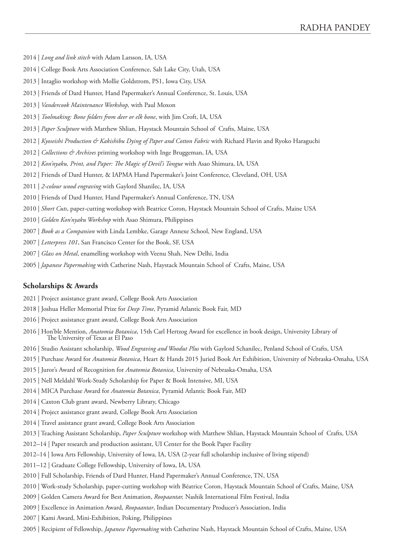- 2014 | *Long and link stitch* with Adam Larsson, IA, USA
- 2014 | College Book Arts Association Conference, Salt Lake City, Utah, USA
- 2013 | Intaglio workshop with Mollie Goldstrom, PS1, Iowa City, USA
- 2013 | Friends of Dard Hunter, Hand Papermaker's Annual Conference, St. Louis, USA
- 2013 | *Vandercook Maintenance Workshop,* with Paul Moxon
- 2013 | *Toolmaking: Bone folders from deer or elk bone*, with Jim Croft, IA, USA
- 2013 | *Paper Sculpture* with Matthew Shlian, Haystack Mountain School of Crafts, Maine, USA
- 2012 | *Kyoseishi Production & Kakishibu Dying of Paper and Cotton Fabric* with Richard Flavin and Ryoko Haraguchi
- 2012 | *Collections & Archives* printing workshop with Inge Bruggeman, IA, USA
- 2012 | *Kon'nyaku, Print, and Paper: The Magic of Devil's Tongue* with Asao Shimura, IA, USA
- 2012 | Friends of Dard Hunter, & IAPMA Hand Papermaker's Joint Conference, Cleveland, OH, USA
- 2011 | *2-colour wood engraving* with Gaylord Shanilec, IA, USA
- 2010 | Friends of Dard Hunter, Hand Papermaker's Annual Conference, TN, USA
- 2010 | *Short Cuts*, paper-cutting workshop with Beatrice Coron, Haystack Mountain School of Crafts, Maine USA
- 2010 | *Golden Kon'nyaku Workshop* with Asao Shimura, Philippines
- 2007 | *Book as a Companion* with Linda Lembke, Garage Annexe School, New England, USA
- 2007 | *Letterpress 101*, San Francisco Center for the Book, SF, USA
- 2007 | *Glass on Metal*, enamelling workshop with Veenu Shah, New Delhi, India
- 2005 | *Japanese Papermaking* with Catherine Nash, Haystack Mountain School of Crafts, Maine, USA

### **Scholarships & Awards**

- 2021 | Project assistance grant award, College Book Arts Association
- 2018 | Joshua Heller Memorial Prize for *Deep Time*, Pyramid Atlantic Book Fair, MD
- 2016 | Project assistance grant award, College Book Arts Association
- 2016 | Hon'ble Mention, *Anatomia Botanica*, 15th Carl Hertzog Award for excellence in book design, University Library of The University of Texas at El Paso
- 2016 | Studio Assistant scholarship, *Wood Engraving and Woodut Plus* with Gaylord Schanilec, Penland School of Crafts, USA
- 2015 | Purchase Award for *Anatomia Botanica*, Heart & Hands 2015 Juried Book Art Exhibition, University of Nebraska-Omaha, USA
- 2015 | Juror's Award of Recognition for *Anatomia Botanica*, University of Nebraska-Omaha, USA
- 2015 | Nell Meldahl Work-Study Scholarship for Paper & Book Intensive, MI, USA
- 2014 | MICA Purchase Award for *Anatomia Botanica*, Pyramid Atlantic Book Fair, MD
- 2014 | Caxton Club grant award, Newberry Library, Chicago
- 2014 | Project assistance grant award, College Book Arts Association
- 2014 | Travel assistance grant award, College Book Arts Association
- 2013 | Teaching Assistant Scholarship, *Paper Sculpture* workshop with Matthew Shlian, Haystack Mountain School of Crafts, USA
- 2012–14 | Paper research and production assistant, UI Center for the Book Paper Facility
- 2012–14 | Iowa Arts Fellowship, University of Iowa, IA, USA (2-year full scholarship inclusive of living stipend)
- 2011–12 | Graduate College Fellowship, University of Iowa, IA, USA
- 2010 | Full Scholarship, Friends of Dard Hunter, Hand Papermaker's Annual Conference, TN, USA
- 2010 | Work-study Scholarship, paper-cutting workshop with Béatrice Coron, Haystack Mountain School of Crafts, Maine, USA
- 2009 | Golden Camera Award for Best Animation, *Roopaantar,* Nashik International Film Festival, India
- 2009 | Excellence in Animation Award, *Roopaantar*, Indian Documentary Producer's Association, India
- 2007 | Kami Award, Mini-Exhibition, Poking, Philippines
- 2005 | Recipient of Fellowship, *Japanese Papermaking* with Catherine Nash, Haystack Mountain School of Crafts, Maine, USA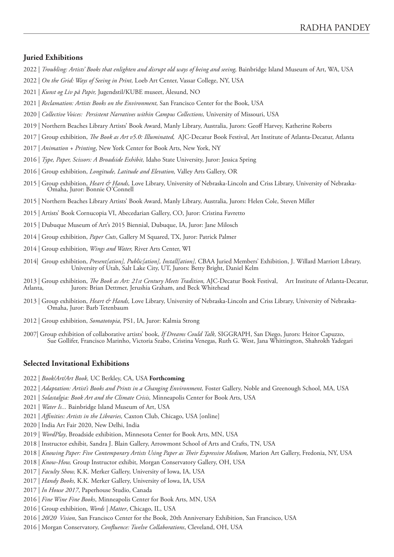# **Juried Exhibitions**

- 2022 | *Troubling: Artists' Books that enlighten and disrupt old ways of being and seeing*, Bainbridge Island Museum of Art, WA, USA
- 2022 | *On the Grid: Ways of Seeing in Print,* Loeb Art Center, Vassar College, NY, USA
- 2021 | *Kunst og Liv på Papir,* Jugendstil/KUBE museet, Ålesund, NO
- 2021 | *Reclamation: Artists Books on the Environment,* San Francisco Center for the Book, USA
- 2020 | *Collective Voices: Persistent Narratives within Campus Collections,* University of Missouri, USA
- 2019 | Northern Beaches Library Artists' Book Award, Manly Library, Australia, Jurors: Geoff Harvey, Katherine Roberts
- 2017 | Group exhibition, *The Book as Art v5.0: Illuminated,* AJC-Decatur Book Festival, Art Institute of Atlanta-Decatur, Atlanta
- 2017 | *Animation + Printing*, New York Center for Book Arts, New York, NY
- 2016 | *Type, Paper, Scissors: A Broadside Exhibit,* Idaho State University, Juror: Jessica Spring
- 2016 | Group exhibition, *Longitude, Latitude and Elevation,* Valley Arts Gallery, OR
- 2015 | Group exhibition, *Heart & Hands,* Love Library, University of Nebraska-Lincoln and Criss Library, University of Nebraska- Omaha, Juror: Bonnie O'Connell
- 2015 | Northern Beaches Library Artists' Book Award, Manly Library, Australia, Jurors: Helen Cole, Steven Miller
- 2015 | Artists' Book Cornucopia VI, Abecedarian Gallery, CO, Juror: Cristina Favretto
- 2015 | Dubuque Museum of Art's 2015 Biennial, Dubuque, IA, Juror: Jane Milosch
- 2014 | Group exhibition, *Paper Cuts*, Gallery M Squared, TX, Juror: Patrick Palmer
- 2014 | Group exhibition, *Wings and Water,* River Arts Center, WI
- 2014| Group exhibition, *Present[ation], Public[ation], Install[ation],* CBAA Juried Members' Exhibition, J. Willard Marriott Library, University of Utah, Salt Lake City, UT, Jurors: Betty Bright, Daniel Kelm
- 2013 | Group exhibition, *The Book as Art: 21st Century Meets Tradition*, AJC-Decatur Book Festival, Art Institute of Atlanta-Decatur, Atlanta-Decatur, Atlanta-Decatur, Atlanta-Decatur, Atlanta-Jurors: Brian Dettmer, Jerushia Graham, and Beck Whitehead
- 2013 | Group exhibition, *Heart & Hands,* Love Library, University of Nebraska-Lincoln and Criss Library, University of Nebraska-Omaha, Juror: Barb Tetenbaum
- 2012 | Group exhibition, *Somatotopia,* PS1, IA, Juror: Kalmia Strong
- 2007| Group exhibition of collaborative artists' book, *If Dreams Could Talk,* SIGGRAPH, San Diego, Jurors: Heitor Capuzzo, Sue Gollifer, Francisco Marinho, Victoria Szabo, Cristina Venegas, Ruth G. West, Jana Whittington, Shahrokh Yadegari

# **Selected Invitational Exhibitions**

- 2022 | *Book/Art/Art Book,* UC Berkley, CA, USA **Forthcoming**
- 2022 | Adaptation: Artist's Books and Prints in a Changing Environment, Foster Gallery, Noble and Greenough School, MA, USA
- 2021 | *Solastalgia: Book Art and the Climate Crisis,* Minneapolis Center for Book Arts, USA
- 2021 | *Water Is...* Bainbridge Island Museum of Art, USA
- 2021 | *Affinities: Artists in the Libraries,* Caxton Club, Chicago, USA [online]
- 2020 | India Art Fair 2020, New Delhi, India
- 2019 | *WordPlay*, Broadside exhibition, Minnesota Center for Book Arts, MN, USA
- 2018 | Instructor exhibit*,* Sandra J. Blain Gallery, Arrowmont School of Arts and Crafts, TN, USA
- 2018 | *Knowing Paper: Five Contemporary Artists Using Paper as Their Expressive Medium,* Marion Art Gallery, Fredonia, NY, USA
- 2018 | *Know-How,* Group Instructor exhibit*,* Morgan Conservatory Gallery, OH, USA
- 2017 | *Faculty Show,* K.K. Merker Gallery, University of Iowa, IA, USA
- 2017 | *Handy Books,* K.K. Merker Gallery, University of Iowa, IA, USA
- 2017 | *In House 2017*, Paperhouse Studio, Canada
- 2016 | *Fine Wine Fine Books*, Minneapolis Center for Book Arts, MN, USA
- 2016 | Group exhibition, *Words | Matter*, Chicago, IL, USA
- 2016 | *20/20 Vision*, San Francisco Center for the Book, 20th Anniversary Exhibition, San Francisco, USA
- 2016 | Morgan Conservatory, *Confluence: Twelve Collaborations*, Cleveland, OH, USA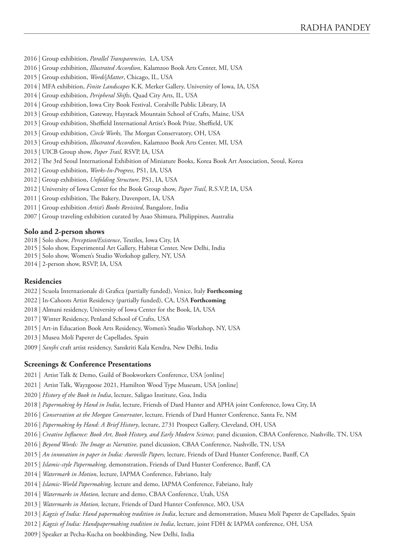2016 | Group exhibition, *Parallel Transparencies,* LA, USA

- 2016 | Group exhibition, *Illustrated Accordion*, Kalamzoo Book Arts Center, MI, USA
- 2015 | Group exhibition, *Words|Matter*, Chicago, IL, USA
- 2014 | MFA exhibition, *Finite Landscapes* K.K. Merker Gallery, University of Iowa, IA, USA
- 2014 | Group exhibition, *Peripheral Shifts*, Quad City Arts, IL, USA
- 2014 | Group exhibition, Iowa City Book Festival, Coralville Public Library, IA
- 2013 | Group exhibition, Gateway, Haystack Mountain School of Crafts, Maine, USA
- 2013 | Group exhibition, Sheffield International Artist's Book Prize, Sheffield, UK
- 2013 | Group exhibition, *Circle Works,* The Morgan Conservatory, OH, USA
- 2013 | Group exhibition, *Illustrated Accordion*, Kalamzoo Book Arts Center, MI, USA
- 2013 | UICB Group show, *Paper Trail,* RSVP, IA, USA
- 2012 | The 3rd Seoul International Exhibition of Miniature Books, Korea Book Art Association, Seoul, Korea
- 2012 | Group exhibition, *Works-In-Progress,* PS1, IA, USA
- 2012 | Group exhibition, *Unfolding Structure,* PS1, IA, USA
- 2012 | University of Iowa Center for the Book Group show, *Paper Trail*, R.S.V.P, IA, USA
- 2011 | Group exhibition, The Bakery, Davenport, IA, USA
- 2011 | Group exhibition *Artist's Books Revisited*, Bangalore, India
- 2007 | Group traveling exhibition curated by Asao Shimura, Philippines, Australia

#### **Solo and 2-person shows**

- 2018 | Solo show, *Perception/Existence*, Textiles, Iowa City, IA
- 2015 | Solo show, Experimental Art Gallery, Habitat Center, New Delhi, India
- 2015 | Solo show, Women's Studio Workshop gallery, NY, USA
- 2014 | 2-person show, RSVP, IA, USA

#### **Residencies**

- 2022 | Scuola Internazionale di Grafica (partially funded), Venice, Italy **Forthcoming**
- 2022 | In-Cahoots Artist Residency (partially funded), CA, USA **Forthcoming**
- 2018 | Almuni residency, University of Iowa Center for the Book, IA, USA
- 2017 | Winter Residency, Penland School of Crafts, USA
- 2015 | Art-in Education Book Arts Residency, Women's Studio Workshop, NY, USA
- 2013 | Museu Molí Paperer de Capellades, Spain
- 2009 | *Sanjhi* craft artist residency, Sanskriti Kala Kendra, New Delhi, India

#### **Screenings & Conference Presentations**

- 2021 | Artist Talk & Demo, Guild of Bookworkers Conference, USA [online]
- 2021 | Artist Talk, Wayzgoose 2021, Hamilton Wood Type Museum, USA [online]
- 2020 | *History of the Book in India*, lecture, Saligao Institute, Goa, India
- 2018 | *Papermaking by Hand in India*, lecture, Friends of Dard Hunter and APHA joint Conference, Iowa City, IA
- 2016 | *Conservation at the Morgan Conservator*, lecture, Friends of Dard Hunter Conference, Santa Fe, NM
- 2016 | *Papermaking by Hand: A Brief History*, lecture, 2731 Prospect Gallery, Cleveland, OH, USA
- 2016 | *Creative Influence: Book Art, Book History, and Early Modern Science,* panel dicussion, CBAA Conference, Nashville, TN, USA
- 2016 | *Beyond Words: The Image as Narrative,* panel dicussion, CBAA Conference, Nashville, TN, USA
- 2015 | *An innovation in paper in India: Auroville Papers,* lecture, Friends of Dard Hunter Conference, Banff, CA
- 2015 | *Islamic-style Papermaking,* demonstration, Friends of Dard Hunter Conference, Banff, CA
- 2014 | *Watermark in Motion*, lecture, IAPMA Conference, Fabriano, Italy
- 2014 | *Islamic-World Papermaking,* lecture and demo, IAPMA Conference, Fabriano, Italy
- 2014 | *Watermarks in Motion,* lecture and demo, CBAA Conference, Utah, USA
- 2013 | *Watermarks in Motion,* lecture, Friends of Dard Hunter Conference, MO, USA
- 2013 | *Kagzis of India: Hand papermaking tradition in India*, lecture and demonstration, Museu Molí Paperer de Capellades, Spain
- 2012 | *Kagzis of India: Handpapermaking tradition in India*, lecture, joint FDH & IAPMA conference, OH, USA
- 2009 | Speaker at Pecha-Kucha on bookbinding, New Delhi, India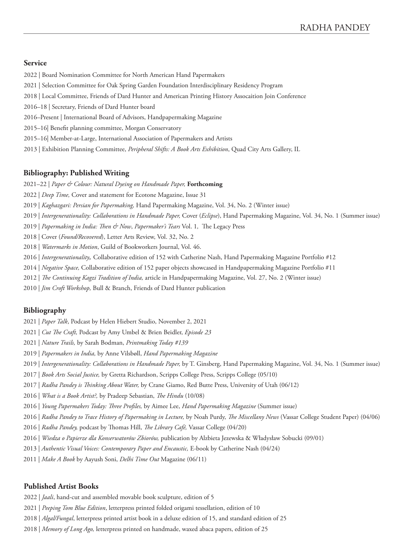# **Service**

- 2022 | Board Nomination Committee for North American Hand Papermakers
- 2021 | Selection Committee for Oak Spring Garden Foundation Interdisciplinary Residency Program
- 2018 | Local Committee, Friends of Dard Hunter and American Printing History Assocaition Join Conference
- 2016–18 | Secretary, Friends of Dard Hunter board
- 2016–Present | International Board of Advisors, Handpapermaking Magazine
- 2015–16| Benefit planning committee, Morgan Conservatory
- 2015–16| Member-at-Large, International Association of Papermakers and Artists
- 2013 | Exhibition Planning Committee, *Peripheral Shifts: A Book Arts Exhibition*, Quad City Arts Gallery, IL

# **Bibliography: Published Writing**

- 2021–22 | *Paper & Colour: Natural Dyeing on Handmade Paper,* **Forthcoming**
- 2022 | *Deep Time,* Cover and statement for Ecotone Magazine, Issue 31
- 2019 | *Kaghazgari: Persian for Papermaking,* Hand Papermaking Magazine, Vol. 34, No. 2 (Winter issue)
- 2019 | *Intergenerationality: Collaborations in Handmade Paper,* Cover (*Eclipse*), Hand Papermaking Magazine, Vol. 34, No. 1 (Summer issue)
- 2019 | *Papermaking in India: Then & Now*, *Papermaker's Tears* Vol. 1*,* The Legacy Press
- 2018 | Cover (*Found/Recovered*), Letter Arts Review, Vol. 32, No. 2
- 2018 | *Watermarks in Motion*, Guild of Bookworkers Journal, Vol. 46.
- 2016 | *Intergenerationality,* Collaborative edition of 152 with Catherine Nash, Hand Papermaking Magazine Portfolio #12
- 2014 | *Negative Space,* Collaborative edition of 152 paper objects showcased in Handpapermaking Magazine Portfolio #11
- 2012 | *The Continuing Kagzi Tradition of India,* article in Handpapermaking Magazine, Vol. 27, No. 2 (Winter issue)
- 2010 | *Jim Croft Workshop,* Bull & Branch, Friends of Dard Hunter publication

# **Bibliography**

- 2021 | *Paper Talk*, Podcast by Helen Hiebert Studio, November 2, 2021
- 2021 | *Cut The Craft,* Podcast by Amy Umbel & Brien Beidler, *Episode 23*
- 2021 | *Nature Trails,* by Sarah Bodman, *Printmaking Today #139*
- 2019 | *Papermakers in India,* by Anne Vilsbøll, *Hand Papermaking Magazine*
- 2019 | *Intergenerationality: Collaborations in Handmade Paper,* by T. Ginsberg, Hand Papermaking Magazine, Vol. 34, No. 1 (Summer issue)
- 2017 | *Book Arts Social Justice,* by Gretta Richardson, Scripps College Press, Scripps College (05/10)
- 2017 | *Radha Pandey is Thinking About Water,* by Crane Giamo, Red Butte Press, University of Utah (06/12)
- 2016 | *What is a Book Artist?,* by Pradeep Sebastian, *The Hindu* (10/08)
- 2016 | *Young Papermakers Today: Three Profiles,* by Aimee Lee, *Hand Papermaking Magazine* (Summer issue)
- 2016 | *Radha Pandey to Trace History of Papermaking in Lecture,* by Noah Purdy, *The Miscellany News* (Vassar College Student Paper) (04/06)
- 2016 | *Radha Pandey,* podcast by Thomas Hill, *The Library Café,* Vassar College (04/20)
- 2016 | *Wiedza o Papierze dla Konserwatorów Zbiorów,* publication by Alzbieta Jezewska & Władysław Sobucki (09/01)
- 2013 | *Authentic Visual Voices: Contemporary Paper and Encaustic,* E-book by Catherine Nash (04/24)
- 2011 | *Make A Book* by Aayush Soni, *Delhi Time Out* Magazine (06/11)

### **Published Artist Books**

- 2022 | *Jaali*, hand-cut and assembled movable book sculpture, edition of 5
- 2021 | *Peeping Tom Blue Edition*, letterpress printed folded origami tessellation, edition of 10
- 2018 | *Algal/Fungal*, letterpress printed artist book in a deluxe edition of 15, and standard edition of 25
- 2018 | *Memory of Long Ago,* letterpress printed on handmade, waxed abaca papers, edition of 25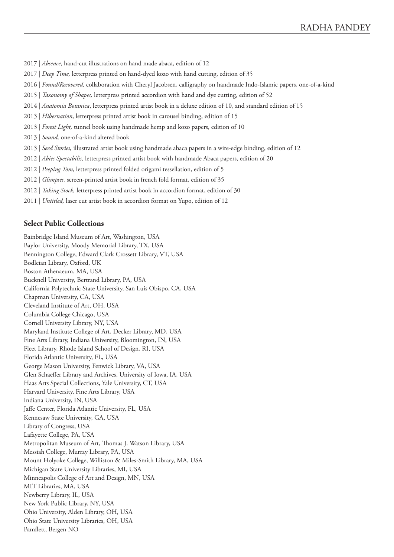- 2017 | *Absence,* hand-cut illustrations on hand made abaca, edition of 12
- 2017 | *Deep Time,* letterpress printed on hand-dyed kozo with hand cutting, edition of 35
- 2016 | *Found/Recovered,* collaboration with Cheryl Jacobsen, calligraphy on handmade Indo-Islamic papers, one-of-a-kind
- 2015 | *Taxonomy of Shapes,* letterpress printed accordion with hand and dye cutting, edition of 52
- 2014 | *Anatomia Botanica*, letterpress printed artist book in a deluxe edition of 10, and standard edition of 15
- 2013 | *Hibernation*, letterpress printed artist book in carousel binding, edition of 15
- 2013 | *Forest Light,* tunnel book using handmade hemp and kozo papers, edition of 10
- 2013 | *Sound,* one-of-a-kind altered book
- 2013 | *Seed Stories*, illustrated artist book using handmade abaca papers in a wire-edge binding, edition of 12
- 2012 | *Abies Spectabilis,* letterpress printed artist book with handmade Abaca papers, edition of 20
- 2012 | *Peeping Tom,* letterpress printed folded origami tessellation, edition of 5
- 2012 | *Glimpses,* screen-printed artist book in french fold format, edition of 35
- 2012 | *Taking Stock,* letterpress printed artist book in accordion format, edition of 30
- 2011 | *Untitled,* laser cut artist book in accordion format on Yupo, edition of 12

# **Select Public Collections**

Bainbridge Island Museum of Art, Washington, USA Baylor University, Moody Memorial Library, TX, USA Bennington College, Edward Clark Crossett Library, VT, USA Bodleian Library, Oxford, UK Boston Athenaeum, MA, USA Bucknell University, Bertrand Library, PA, USA California Polytechnic State University, San Luis Obispo, CA, USA Chapman University, CA, USA Cleveland Institute of Art, OH, USA Columbia College Chicago, USA Cornell University Library, NY, USA Maryland Institute College of Art, Decker Library, MD, USA Fine Arts Library, Indiana University, Bloomington, IN, USA Fleet Library, Rhode Island School of Design, RI, USA Florida Atlantic University, FL, USA George Mason University, Fenwick Library, VA, USA Glen Schaeffer Library and Archives, University of Iowa, IA, USA Haas Arts Special Collections, Yale University, CT, USA Harvard University, Fine Arts Library, USA Indiana University, IN, USA Jaffe Center, Florida Atlantic University, FL, USA Kennesaw State University, GA, USA Library of Congress, USA Lafayette College, PA, USA Metropolitan Museum of Art, Thomas J. Watson Library, USA Messiah College, Murray Library, PA, USA Mount Holyoke College, Williston & Miles-Smith Library, MA, USA Michigan State University Libraries, MI, USA Minneapolis College of Art and Design, MN, USA MIT Libraries, MA, USA Newberry Library, IL, USA New York Public Library, NY, USA Ohio University, Alden Library, OH, USA Ohio State University Libraries, OH, USA Pamflett, Bergen NO